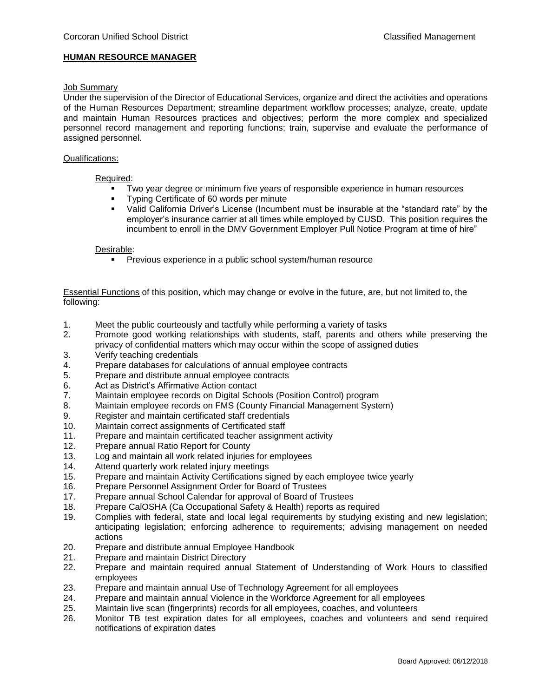## **HUMAN RESOURCE MANAGER**

# Job Summary

Under the supervision of the Director of Educational Services, organize and direct the activities and operations of the Human Resources Department; streamline department workflow processes; analyze, create, update and maintain Human Resources practices and objectives; perform the more complex and specialized personnel record management and reporting functions; train, supervise and evaluate the performance of assigned personnel.

## Qualifications:

## Required:

- Two year degree or minimum five years of responsible experience in human resources
- **Typing Certificate of 60 words per minute**
- Valid California Driver's License (Incumbent must be insurable at the "standard rate" by the employer's insurance carrier at all times while employed by CUSD. This position requires the incumbent to enroll in the DMV Government Employer Pull Notice Program at time of hire"

## Desirable:

**Previous experience in a public school system/human resource** 

Essential Functions of this position, which may change or evolve in the future, are, but not limited to, the following:

- 1. Meet the public courteously and tactfully while performing a variety of tasks
- 2. Promote good working relationships with students, staff, parents and others while preserving the privacy of confidential matters which may occur within the scope of assigned duties
- 3. Verify teaching credentials
- 4. Prepare databases for calculations of annual employee contracts
- 5. Prepare and distribute annual employee contracts
- 6. Act as District's Affirmative Action contact
- 7. Maintain employee records on Digital Schools (Position Control) program
- 8. Maintain employee records on FMS (County Financial Management System)
- 9. Register and maintain certificated staff credentials
- 10. Maintain correct assignments of Certificated staff
- 11. Prepare and maintain certificated teacher assignment activity
- 12. Prepare annual Ratio Report for County
- 13. Log and maintain all work related injuries for employees
- 14. Attend quarterly work related injury meetings
- 15. Prepare and maintain Activity Certifications signed by each employee twice yearly
- 16. Prepare Personnel Assignment Order for Board of Trustees
- 17. Prepare annual School Calendar for approval of Board of Trustees
- 18. Prepare CalOSHA (Ca Occupational Safety & Health) reports as required
- 19. Complies with federal, state and local legal requirements by studying existing and new legislation; anticipating legislation; enforcing adherence to requirements; advising management on needed actions
- 20. Prepare and distribute annual Employee Handbook
- 21. Prepare and maintain District Directory
- 22. Prepare and maintain required annual Statement of Understanding of Work Hours to classified employees
- 23. Prepare and maintain annual Use of Technology Agreement for all employees
- 24. Prepare and maintain annual Violence in the Workforce Agreement for all employees
- 25. Maintain live scan (fingerprints) records for all employees, coaches, and volunteers
- 26. Monitor TB test expiration dates for all employees, coaches and volunteers and send required notifications of expiration dates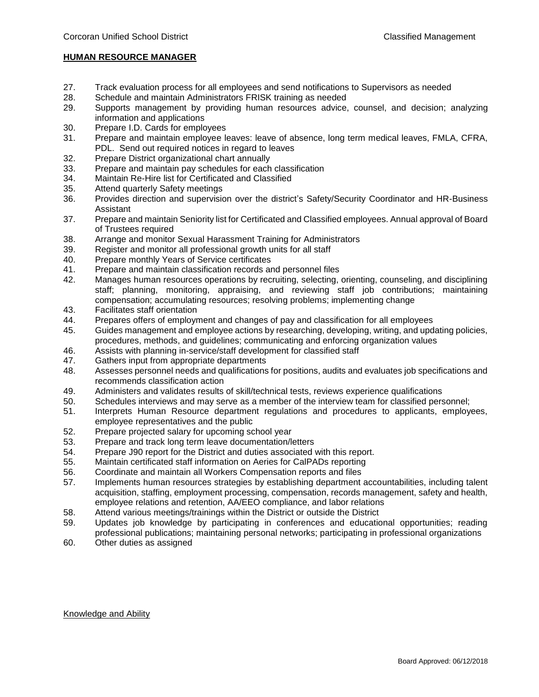# **HUMAN RESOURCE MANAGER**

- 27. Track evaluation process for all employees and send notifications to Supervisors as needed
- 28. Schedule and maintain Administrators FRISK training as needed
- 29. Supports management by providing human resources advice, counsel, and decision; analyzing information and applications
- 30. Prepare I.D. Cards for employees
- 31. Prepare and maintain employee leaves: leave of absence, long term medical leaves, FMLA, CFRA, PDL. Send out required notices in regard to leaves
- 32. Prepare District organizational chart annually
- 33. Prepare and maintain pay schedules for each classification
- 34. Maintain Re-Hire list for Certificated and Classified
- 35. Attend quarterly Safety meetings
- 36. Provides direction and supervision over the district's Safety/Security Coordinator and HR-Business Assistant
- 37. Prepare and maintain Seniority list for Certificated and Classified employees. Annual approval of Board of Trustees required
- 38. Arrange and monitor Sexual Harassment Training for Administrators
- 39. Register and monitor all professional growth units for all staff
- 40. Prepare monthly Years of Service certificates
- 41. Prepare and maintain classification records and personnel files
- 42. Manages human resources operations by recruiting, selecting, orienting, counseling, and disciplining staff; planning, monitoring, appraising, and reviewing staff job contributions; maintaining compensation; accumulating resources; resolving problems; implementing change
- 43. Facilitates staff orientation
- 44. Prepares offers of employment and changes of pay and classification for all employees
- 45. Guides management and employee actions by researching, developing, writing, and updating policies, procedures, methods, and guidelines; communicating and enforcing organization values
- 46. Assists with planning in-service/staff development for classified staff
- 47. Gathers input from appropriate departments
- 48. Assesses personnel needs and qualifications for positions, audits and evaluates job specifications and recommends classification action
- 49. Administers and validates results of skill/technical tests, reviews experience qualifications
- 50. Schedules interviews and may serve as a member of the interview team for classified personnel;
- 51. Interprets Human Resource department regulations and procedures to applicants, employees, employee representatives and the public
- 52. Prepare projected salary for upcoming school year
- 53. Prepare and track long term leave documentation/letters
- 54. Prepare J90 report for the District and duties associated with this report.
- 55. Maintain certificated staff information on Aeries for CalPADs reporting
- 56. Coordinate and maintain all Workers Compensation reports and files
- 57. Implements human resources strategies by establishing department accountabilities, including talent acquisition, staffing, employment processing, compensation, records management, safety and health, employee relations and retention, AA/EEO compliance, and labor relations
- 58. Attend various meetings/trainings within the District or outside the District
- 59. Updates job knowledge by participating in conferences and educational opportunities; reading professional publications; maintaining personal networks; participating in professional organizations
- 60. Other duties as assigned

# Knowledge and Ability